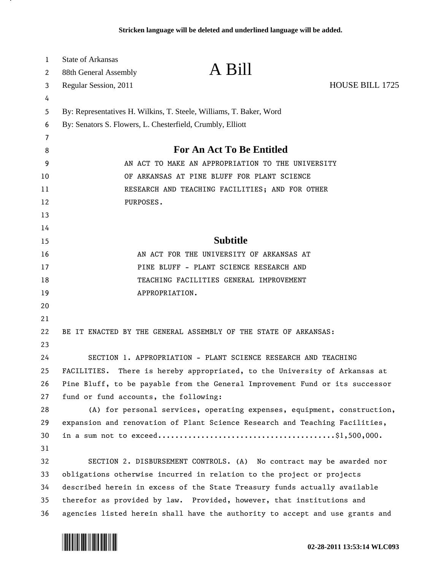| 1  | <b>State of Arkansas</b>                                                     |                                                                            |                 |  |
|----|------------------------------------------------------------------------------|----------------------------------------------------------------------------|-----------------|--|
| 2  | 88th General Assembly                                                        | A Bill                                                                     |                 |  |
| 3  | Regular Session, 2011                                                        |                                                                            | HOUSE BILL 1725 |  |
| 4  |                                                                              |                                                                            |                 |  |
| 5  | By: Representatives H. Wilkins, T. Steele, Williams, T. Baker, Word          |                                                                            |                 |  |
| 6  | By: Senators S. Flowers, L. Chesterfield, Crumbly, Elliott                   |                                                                            |                 |  |
| 7  |                                                                              |                                                                            |                 |  |
| 8  |                                                                              | <b>For An Act To Be Entitled</b>                                           |                 |  |
| 9  | AN ACT TO MAKE AN APPROPRIATION TO THE UNIVERSITY                            |                                                                            |                 |  |
| 10 | OF ARKANSAS AT PINE BLUFF FOR PLANT SCIENCE                                  |                                                                            |                 |  |
| 11 | RESEARCH AND TEACHING FACILITIES; AND FOR OTHER                              |                                                                            |                 |  |
| 12 | PURPOSES.                                                                    |                                                                            |                 |  |
| 13 |                                                                              |                                                                            |                 |  |
| 14 |                                                                              |                                                                            |                 |  |
| 15 | <b>Subtitle</b>                                                              |                                                                            |                 |  |
| 16 |                                                                              | AN ACT FOR THE UNIVERSITY OF ARKANSAS AT                                   |                 |  |
| 17 | PINE BLUFF - PLANT SCIENCE RESEARCH AND                                      |                                                                            |                 |  |
| 18 | TEACHING FACILITIES GENERAL IMPROVEMENT                                      |                                                                            |                 |  |
| 19 |                                                                              | APPROPRIATION.                                                             |                 |  |
| 20 |                                                                              |                                                                            |                 |  |
| 21 |                                                                              |                                                                            |                 |  |
| 22 |                                                                              | BE IT ENACTED BY THE GENERAL ASSEMBLY OF THE STATE OF ARKANSAS:            |                 |  |
| 23 |                                                                              |                                                                            |                 |  |
| 24 |                                                                              | SECTION 1. APPROPRIATION - PLANT SCIENCE RESEARCH AND TEACHING             |                 |  |
| 25 |                                                                              | FACILITIES. There is hereby appropriated, to the University of Arkansas at |                 |  |
| 26 | Pine Bluff, to be payable from the General Improvement Fund or its successor |                                                                            |                 |  |
| 27 | fund or fund accounts, the following:                                        |                                                                            |                 |  |
| 28 |                                                                              | (A) for personal services, operating expenses, equipment, construction,    |                 |  |
| 29 | expansion and renovation of Plant Science Research and Teaching Facilities,  |                                                                            |                 |  |
| 30 |                                                                              |                                                                            |                 |  |
| 31 |                                                                              |                                                                            |                 |  |
| 32 |                                                                              | SECTION 2. DISBURSEMENT CONTROLS. (A) No contract may be awarded nor       |                 |  |
| 33 | obligations otherwise incurred in relation to the project or projects        |                                                                            |                 |  |
| 34 | described herein in excess of the State Treasury funds actually available    |                                                                            |                 |  |
| 35 | therefor as provided by law. Provided, however, that institutions and        |                                                                            |                 |  |
| 36 | agencies listed herein shall have the authority to accept and use grants and |                                                                            |                 |  |



л.